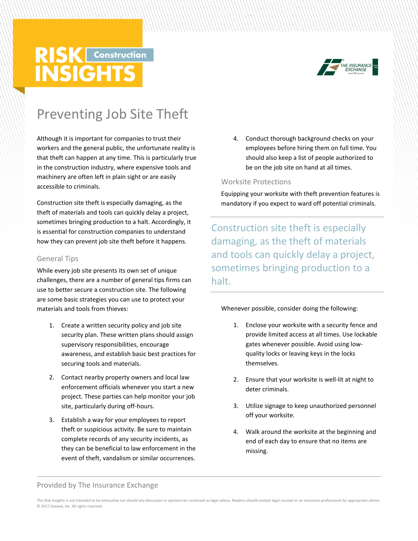# **RISK** Construction **INSIGHTS**



# Preventing Job Site Theft

Although it is important for companies to trust their workers and the general public, the unfortunate reality is that theft can happen at any time. This is particularly true in the construction industry, where expensive tools and machinery are often left in plain sight or are easily accessible to criminals.

Construction site theft is especially damaging, as the theft of materials and tools can quickly delay a project, sometimes bringing production to a halt. Accordingly, it is essential for construction companies to understand how they can prevent job site theft before it happens.

#### General Tips

While every job site presents its own set of unique challenges, there are a number of general tips firms can use to better secure a construction site. The following are some basic strategies you can use to protect your materials and tools from thieves:

- 1. Create a written security policy and job site security plan. These written plans should assign supervisory responsibilities, encourage awareness, and establish basic best practices for securing tools and materials.
- 2. Contact nearby property owners and local law enforcement officials whenever you start a new project. These parties can help monitor your job site, particularly during off-hours.
- 3. Establish a way for your employees to report theft or suspicious activity. Be sure to maintain complete records of any security incidents, as they can be beneficial to law enforcement in the event of theft, vandalism or similar occurrences.

4. Conduct thorough background checks on your employees before hiring them on full time. You should also keep a list of people authorized to be on the job site on hand at all times.

#### Worksite Protections

Equipping your worksite with theft prevention features is mandatory if you expect to ward off potential criminals.

Construction site theft is especially damaging, as the theft of materials and tools can quickly delay a project, sometimes bringing production to a halt.

#### Whenever possible, consider doing the following:

- 1. Enclose your worksite with a security fence and provide limited access at all times. Use lockable gates whenever possible. Avoid using lowquality locks or leaving keys in the locks themselves.
- 2. Ensure that your worksite is well-lit at night to deter criminals.
- 3. Utilize signage to keep unauthorized personnel off your worksite.
- 4. Walk around the worksite at the beginning and end of each day to ensure that no items are missing.

Provided by The Insurance Exchange

This Risk Insights is not intended to be exhaustive nor should any discussion or opinions be construed as legal advice. Readers should contact legal counsel or an insurance professional for appropriate advice. © 2017 Zywave, Inc. All rights reserved.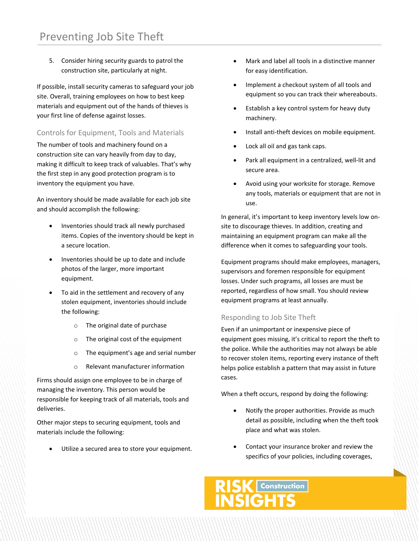5. Consider hiring security guards to patrol the construction site, particularly at night.

If possible, install security cameras to safeguard your job site. Overall, training employees on how to best keep materials and equipment out of the hands of thieves is your first line of defense against losses.

# Controls for Equipment, Tools and Materials

The number of tools and machinery found on a construction site can vary heavily from day to day, making it difficult to keep track of valuables. That's why the first step in any good protection program is to inventory the equipment you have.

An inventory should be made available for each job site and should accomplish the following:

- Inventories should track all newly purchased items. Copies of the inventory should be kept in a secure location.
- Inventories should be up to date and include photos of the larger, more important equipment.
- To aid in the settlement and recovery of any stolen equipment, inventories should include the following:
	- o The original date of purchase
	- o The original cost of the equipment
	- o The equipment's age and serial number
	- o Relevant manufacturer information

Firms should assign one employee to be in charge of managing the inventory. This person would be responsible for keeping track of all materials, tools and deliveries.

Other major steps to securing equipment, tools and materials include the following:

Utilize a secured area to store your equipment.

- Mark and label all tools in a distinctive manner for easy identification.
- Implement a checkout system of all tools and equipment so you can track their whereabouts.
- Establish a key control system for heavy duty machinery.
- Install anti-theft devices on mobile equipment.
- Lock all oil and gas tank caps.
- Park all equipment in a centralized, well-lit and secure area.
- Avoid using your worksite for storage. Remove any tools, materials or equipment that are not in use.

In general, it's important to keep inventory levels low onsite to discourage thieves. In addition, creating and maintaining an equipment program can make all the difference when it comes to safeguarding your tools.

Equipment programs should make employees, managers, supervisors and foremen responsible for equipment losses. Under such programs, all losses are must be reported, regardless of how small. You should review equipment programs at least annually.

## Responding to Job Site Theft

Even if an unimportant or inexpensive piece of equipment goes missing, it's critical to report the theft to the police. While the authorities may not always be able to recover stolen items, reporting every instance of theft helps police establish a pattern that may assist in future cases.

When a theft occurs, respond by doing the following:

- Notify the proper authorities. Provide as much detail as possible, including when the theft took place and what was stolen.
- Contact your insurance broker and review the specifics of your policies, including coverages,